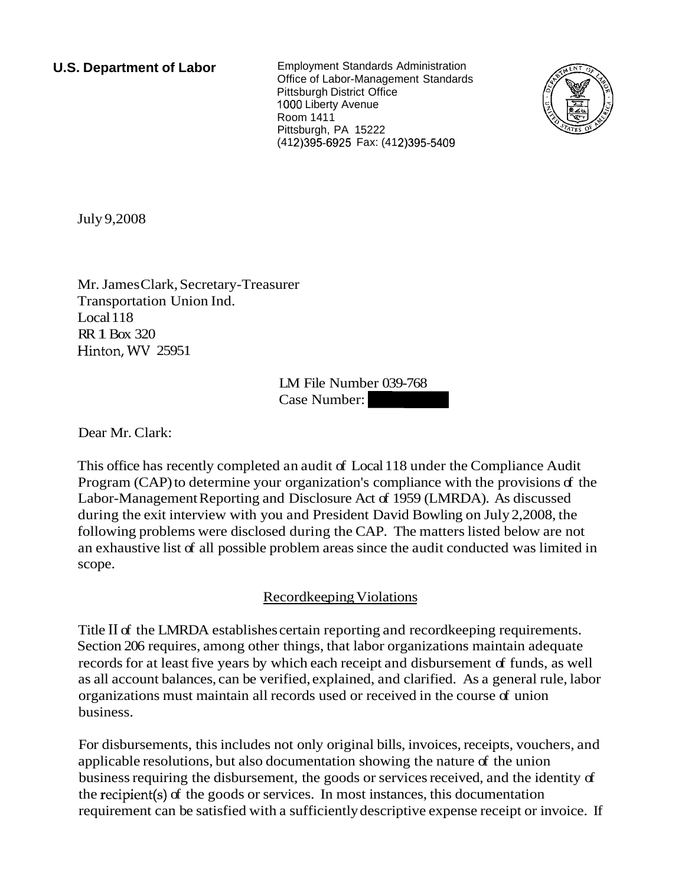**U.S. Department of Labor** Employment Standards Administration Office of Labor-Management Standards Pittsburgh District Office 1000 Liberty Avenue Room 1411 Pittsburgh, PA 15222 (412) 395-6925 Fax: (412) 395-5409



July 9,2008

Mr. James Clark, Secretary-Treasurer Transportation Union Ind. Local 118 RR 1 Box 320 Hinton, WV 25951

LM File Number 039-768 lM File Number 039-768<br>Case Number:

Dear Mr. Clark:

This office has recently completed an audit of Local 118 under the Compliance Audit Program (CAP) to determine your organization's compliance with the provisions of the Labor-Management Reporting and Disclosure Act of 1959 (LMRDA). As discussed during the exit interview with you and President David Bowling on July 2,2008, the following problems were disclosed during the CAP. The matters listed below are not an exhaustive list of all possible problem areas since the audit conducted was limited in scope.

## Recordkeeping Violations

Title I1 of the LMRDA establishes certain reporting and recordkeeping requirements. Section 206 requires, among other things, that labor organizations maintain adequate records for at least five years by which each receipt and disbursement of funds, as well as all account balances, can be verified, explained, and clarified. As a general rule, labor organizations must maintain all records used or received in the course of union business.

For disbursements, this includes not only original bills, invoices, receipts, vouchers, and applicable resolutions, but also documentation showing the nature of the union business requiring the disbursement, the goods or services received, and the identity of the recipient(s) of the goods or services. In most instances, this documentation requirement can be satisfied with a sufficiently descriptive expense receipt or invoice. If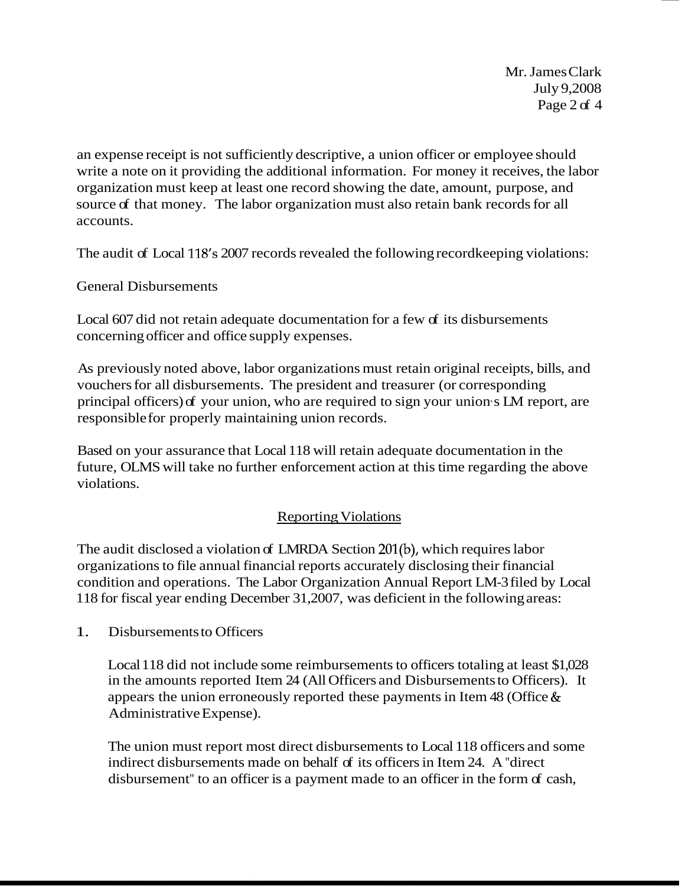Mr. James Clark July 9,2008 Page 2 of 4

an expense receipt is not sufficiently descriptive, a union officer or employee should write a note on it providing the additional information. For money it receives, the labor organization must keep at least one record showing the date, amount, purpose, and source of that money. The labor organization must also retain bank records for all accounts.

The audit of Local 118's 2007 records revealed the following recordkeeping violations:

General Disbursements

Local 607 did not retain adequate documentation for a few of its disbursements concerning officer and office supply expenses.

As previously noted above, labor organizations must retain original receipts, bills, and vouchers for all disbursements. The president and treasurer (or corresponding principal officers) of your union, who are required to sign your union s LM report, are responsible for properly maintaining union records.

Based on your assurance that Local 118 will retain adequate documentation in the future, OLMS will take no further enforcement action at this time regarding the above violations.

## Reporting Violations

The audit disclosed a violation of LMRDA Section 201(b), which requires labor organizations to file annual financial reports accurately disclosing their financial condition and operations. The Labor Organization Annual Report LM-3 filed by Local 118 for fiscal year ending December 31,2007, was deficient in the following areas:

1. Disbursements to Officers

Local 118 did not include some reimbursements to officers totaling at least \$1,028 in the amounts reported Item 24 (All Officers and Disbursements to Officers). It appears the union erroneously reported these payments in Item 48 (Office & Administrative Expense).

The union must report most direct disbursements to Local 118 officers and some indirect disbursements made on behalf of its officers in Item 24. A "direct" disbursement" to an officer is a payment made to an officer in the form of cash,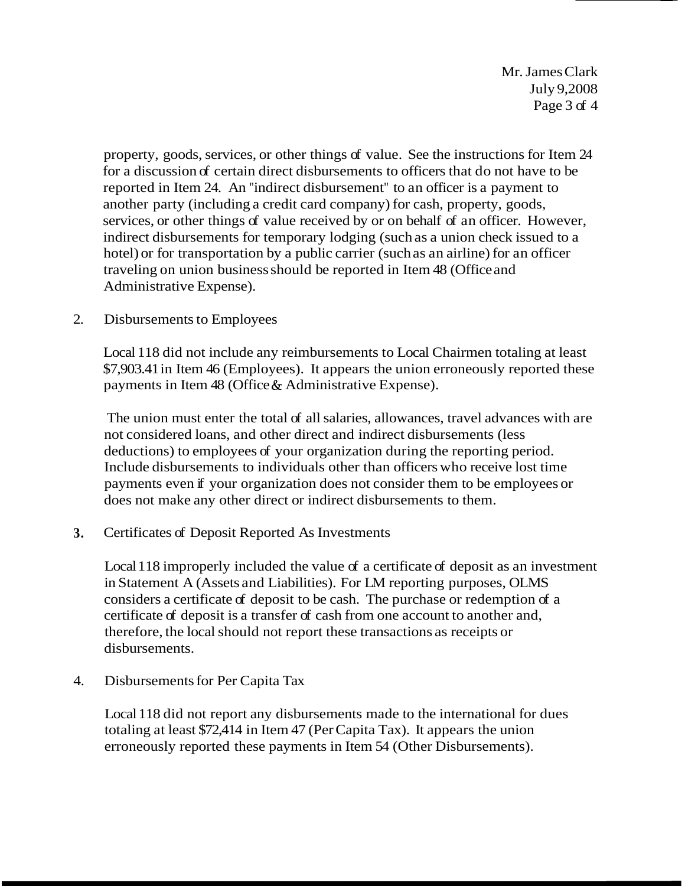Mr. James Clark July 9,2008 Page 3 of 4

property, goods, services, or other things of value. See the instructions for Item 24 for a discussion of certain direct disbursements to officers that do not have to be reported in Item 24. An "indirect disbursement" to an officer is a payment to another party (including a credit card company) for cash, property, goods, services, or other things of value received by or on behalf of an officer. However, indirect disbursements for temporary lodging (such as a union check issued to a hotel) or for transportation by a public carrier (such as an airline) for an officer traveling on union business should be reported in Item 48 (Office and Administrative Expense).

2. Disbursements to Employees

Local 118 did not include any reimbursements to Local Chairmen totaling at least \$7,903.41 in Item 46 (Employees). It appears the union erroneously reported these payments in Item 48 (Office & Administrative Expense).

The union must enter the total of all salaries, allowances, travel advances with are not considered loans, and other direct and indirect disbursements (less deductions) to employees of your organization during the reporting period. Include disbursements to individuals other than officers who receive lost time payments even if your organization does not consider them to be employees or does not make any other direct or indirect disbursements to them.

**3.** Certificates of Deposit Reported As Investments

Local 118 improperly included the value of a certificate of deposit as an investment in Statement A (Assets and Liabilities). For LM reporting purposes, OLMS considers a certificate of deposit to be cash. The purchase or redemption of a certificate of deposit is a transfer of cash from one account to another and, therefore, the local should not report these transactions as receipts or disbursements.

4. Disbursements for Per Capita Tax

Local 118 did not report any disbursements made to the international for dues totaling at least \$72,414 in Item 47 (Per Capita Tax). It appears the union erroneously reported these payments in Item 54 (Other Disbursements).